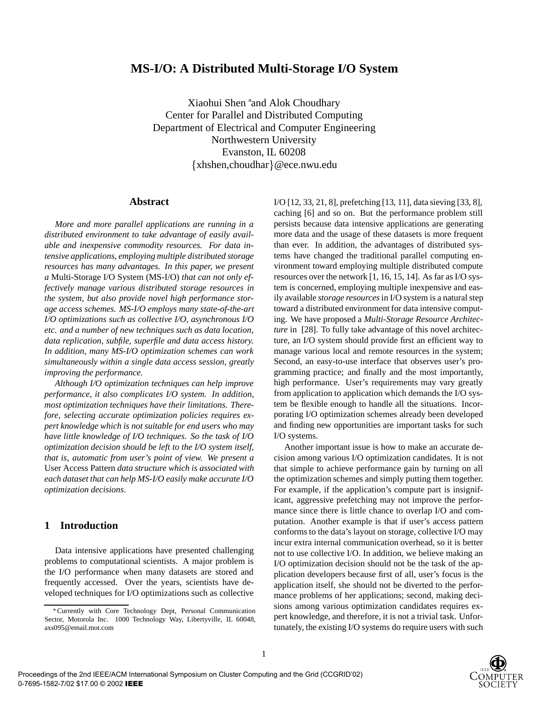# **MS-I/O: A Distributed Multi-Storage I/O System**

Xiaohui Shen \*and Alok Choudhary Center for Parallel and Distributed Computing Department of Electrical and Computer Engineering Northwestern University Evanston, IL 60208  $\{xhshen, choudhar\}$ @ece.nwu.edu

#### **Abstract**

*More and more parallel applications are running in a distributed environment to take advantage of easily available and inexpensive commodity resources. For data intensive applications, employing multiple distributed storage resources has many advantages. In this paper, we present a* Multi-Storage I/O System (MS-I/O) *that can not only effectively manage various distributed storage resources in the system, but also provide novel high performance storage access schemes. MS-I/O employs many state-of-the-art I/O optimizations such as collective I/O, asynchronous I/O etc. and a number of new techniques such as data location, data replication, subfile, superfile and data access history. In addition, many MS-I/O optimization schemes can work simultaneously within a single data access session, greatly improving the performance.*

*Although I/O optimization techniques can help improve performance, it also complicates I/O system. In addition, most optimization techniques have their limitations. Therefore, selecting accurate optimization policies requires expert knowledge which is not suitable for end users who may have little knowledge of I/O techniques. So the task of I/O optimization decision should be left to the I/O system itself, that is, automatic from user's point of view. We present a* User Access Pattern *data structure which is associated with each dataset that can help MS-I/O easily make accurate I/O optimization decisions.*

# **1 Introduction**

Data intensive applications have presented challenging problems to computational scientists. A major problem is the I/O performance when many datasets are stored and frequently accessed. Over the years, scientists have developed techniques for I/O optimizations such as collective I/O [12, 33, 21, 8], prefetching [13, 11], data sieving [33, 8], caching [6] and so on. But the performance problem still persists because data intensive applications are generating more data and the usage of these datasets is more frequent than ever. In addition, the advantages of distributed systems have changed the traditional parallel computing environment toward employing multiple distributed compute resources over the network [1, 16, 15, 14]. As far as I/O system is concerned, employing multiple inexpensive and easily available *storage resources*in I/O system is a natural step toward a distributed environment for data intensive computing. We have proposed a *Multi-Storage Resource Architecture* in [28]. To fully take advantage of this novel architecture, an I/O system should provide first an efficient way to manage various local and remote resources in the system; Second, an easy-to-use interface that observes user's programming practice; and finally and the most importantly, high performance. User's requirements may vary greatly from application to application which demands the I/O system be flexible enough to handle all the situations. Incorporating I/O optimization schemes already been developed and finding new opportunities are important tasks for such I/O systems.

Another important issue is how to make an accurate decision among various I/O optimization candidates. It is not that simple to achieve performance gain by turning on all the optimization schemes and simply putting them together. For example, if the application's compute part is insignificant, aggressive prefetching may not improve the performance since there is little chance to overlap I/O and computation. Another example is that if user's access pattern conforms to the data's layout on storage, collective I/O may incur extra internal communication overhead, so it is better not to use collective I/O. In addition, we believe making an I/O optimization decision should not be the task of the application developers because first of all, user's focus is the application itself, she should not be diverted to the performance problems of her applications; second, making decisions among various optimization candidates requires expert knowledge, and therefore, it is not a trivial task. Unfortunately, the existing I/O systems do require users with such

Currently with Core Technology Dept, Personal Communication Sector, Motorola Inc. 1000 Technology Way, Libertyville, IL 60048, axs095@email.mot.com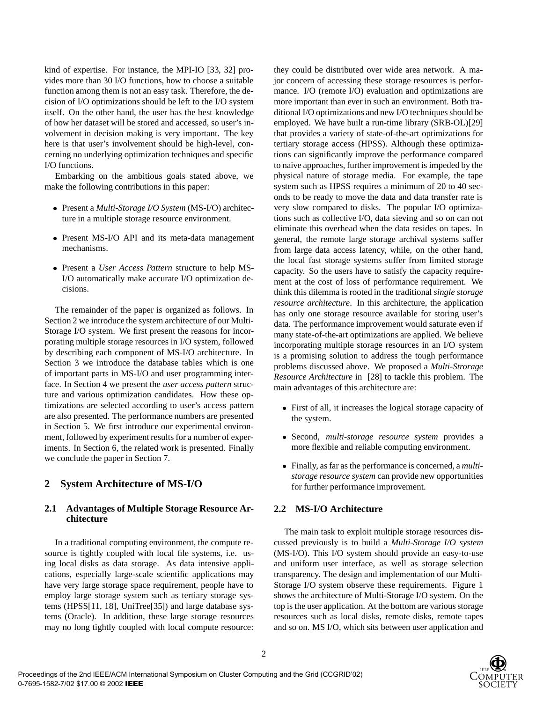kind of expertise. For instance, the MPI-IO [33, 32] provides more than 30 I/O functions, how to choose a suitable function among them is not an easy task. Therefore, the decision of I/O optimizations should be left to the I/O system itself. On the other hand, the user has the best knowledge of how her dataset will be stored and accessed, so user's involvement in decision making is very important. The key here is that user's involvement should be high-level, concerning no underlying optimization techniques and specific I/O functions.

Embarking on the ambitious goals stated above, we make the following contributions in this paper:

- Present a*Multi-Storage I/O System* (MS-I/O) architecture in a multiple storage resource environment.
- Present MS-I/O API and its meta-data management mechanisms.
- Present a *User Access Pattern* structure to help MS-I/O automatically make accurate I/O optimization decisions.

The remainder of the paper is organized as follows. In Section 2 we introduce the system architecture of our Multi-Storage I/O system. We first present the reasons for incorporating multiple storage resources in I/O system, followed by describing each component of MS-I/O architecture. In Section 3 we introduce the database tables which is one of important parts in MS-I/O and user programming interface. In Section 4 we present the *user access pattern* structure and various optimization candidates. How these optimizations are selected according to user's access pattern are also presented. The performance numbers are presented in Section 5. We first introduce our experimental environment, followed by experiment results for a number of experiments. In Section 6, the related work is presented. Finally we conclude the paper in Section 7.

## **2 System Architecture of MS-I/O**

## **2.1 Advantages of Multiple Storage Resource Architecture**

In a traditional computing environment, the compute resource is tightly coupled with local file systems, i.e. using local disks as data storage. As data intensive applications, especially large-scale scientific applications may have very large storage space requirement, people have to employ large storage system such as tertiary storage systems (HPSS[11, 18], UniTree[35]) and large database systems (Oracle). In addition, these large storage resources may no long tightly coupled with local compute resource:

they could be distributed over wide area network. A major concern of accessing these storage resources is performance. I/O (remote I/O) evaluation and optimizations are more important than ever in such an environment. Both traditional I/O optimizations and new I/O techniques should be employed. We have built a run-time library (SRB-OL)[29] that provides a variety of state-of-the-art optimizations for tertiary storage access (HPSS). Although these optimizations can significantly improve the performance compared to naive approaches, further improvement is impeded by the physical nature of storage media. For example, the tape system such as HPSS requires a minimum of 20 to 40 seconds to be ready to move the data and data transfer rate is very slow compared to disks. The popular I/O optimizations such as collective I/O, data sieving and so on can not eliminate this overhead when the data resides on tapes. In general, the remote large storage archival systems suffer from large data access latency, while, on the other hand, the local fast storage systems suffer from limited storage capacity. So the users have to satisfy the capacity requirement at the cost of loss of performance requirement. We think this dilemma is rooted in the traditional *single storage resource architecture*. In this architecture, the application has only one storage resource available for storing user's data. The performance improvement would saturate even if many state-of-the-art optimizations are applied. We believe incorporating multiple storage resources in an I/O system is a promising solution to address the tough performance problems discussed above. We proposed a *Multi-Strorage Resource Architecture* in [28] to tackle this problem. The main advantages of this architecture are:

- First of all, it increases the logical storage capacity of the system.
- Second, *multi-storage resource system* provides a more flexible and reliable computing environment.
- Finally, as far as the performance is concerned, a *multistorage resource system* can provide new opportunities for further performance improvement.

## **2.2 MS-I/O Architecture**

The main task to exploit multiple storage resources discussed previously is to build a *Multi-Storage I/O system* (MS-I/O). This I/O system should provide an easy-to-use and uniform user interface, as well as storage selection transparency. The design and implementation of our Multi-Storage I/O system observe these requirements. Figure 1 shows the architecture of Multi-Storage I/O system. On the top is the user application. At the bottom are various storage resources such as local disks, remote disks, remote tapes and so on. MS I/O, which sits between user application and

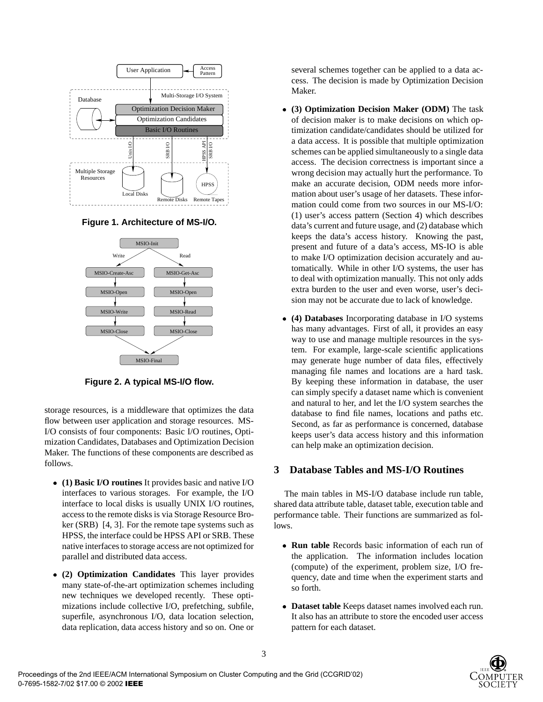

**Figure 1. Architecture of MS-I/O.**



**Figure 2. A typical MS-I/O flow.**

storage resources, is a middleware that optimizes the data flow between user application and storage resources. MS-I/O consists of four components: Basic I/O routines, Optimization Candidates, Databases and Optimization Decision Maker. The functions of these components are described as follows.

- **(1) Basic I/O routines** It provides basic and native I/O interfaces to various storages. For example, the I/O interface to local disks is usually UNIX I/O routines, access to the remote disks is via Storage Resource Broker (SRB) [4, 3]. For the remote tape systems such as HPSS, the interface could be HPSS API or SRB. These native interfaces to storage access are not optimized for parallel and distributed data access.
- **(2) Optimization Candidates** This layer provides many state-of-the-art optimization schemes including new techniques we developed recently. These optimizations include collective I/O, prefetching, subfile, superfile, asynchronous I/O, data location selection, data replication, data access history and so on. One or

several schemes together can be applied to a data access. The decision is made by Optimization Decision Maker.

- **(3) Optimization Decision Maker (ODM)** The task of decision maker is to make decisions on which optimization candidate/candidates should be utilized for a data access. It is possible that multiple optimization schemes can be applied simultaneously to a single data access. The decision correctness is important since a wrong decision may actually hurt the performance. To make an accurate decision, ODM needs more information about user's usage of her datasets. These information could come from two sources in our MS-I/O: (1) user's access pattern (Section 4) which describes data's current and future usage, and (2) database which keeps the data's access history. Knowing the past, present and future of a data's access, MS-IO is able to make I/O optimization decision accurately and automatically. While in other I/O systems, the user has to deal with optimization manually. This not only adds extra burden to the user and even worse, user's decision may not be accurate due to lack of knowledge.
- **(4) Databases** Incorporating database in I/O systems has many advantages. First of all, it provides an easy way to use and manage multiple resources in the system. For example, large-scale scientific applications may generate huge number of data files, effectively managing file names and locations are a hard task. By keeping these information in database, the user can simply specify a dataset name which is convenient and natural to her, and let the I/O system searches the database to find file names, locations and paths etc. Second, as far as performance is concerned, database keeps user's data access history and this information can help make an optimization decision.

# **3 Database Tables and MS-I/O Routines**

The main tables in MS-I/O database include run table, shared data attribute table, dataset table, execution table and performance table. Their functions are summarized as follows.

- **Run table** Records basic information of each run of the application. The information includes location (compute) of the experiment, problem size, I/O frequency, date and time when the experiment starts and so forth.
- **Dataset table** Keeps dataset names involved each run. It also has an attribute to store the encoded user access pattern for each dataset.

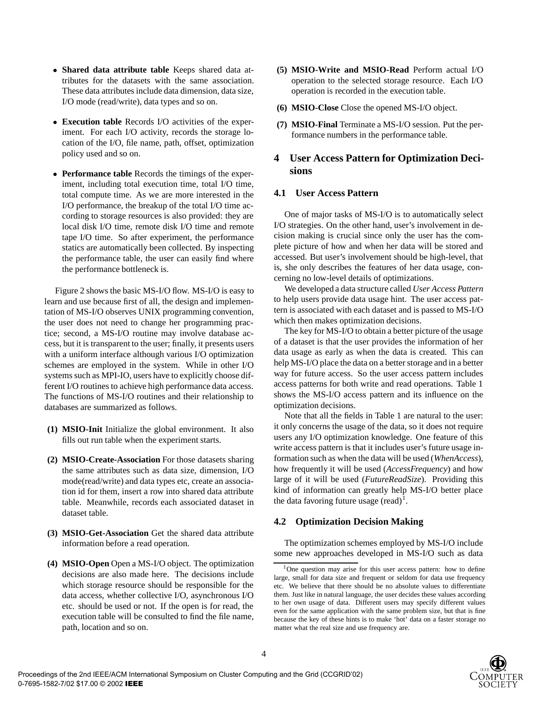- **Shared data attribute table** Keeps shared data attributes for the datasets with the same association. These data attributes include data dimension, data size, I/O mode (read/write), data types and so on.
- **Execution table** Records I/O activities of the experiment. For each I/O activity, records the storage location of the I/O, file name, path, offset, optimization policy used and so on.
- **Performance table** Records the timings of the experiment, including total execution time, total I/O time, total compute time. As we are more interested in the I/O performance, the breakup of the total I/O time according to storage resources is also provided: they are local disk I/O time, remote disk I/O time and remote tape I/O time. So after experiment, the performance statics are automatically been collected. By inspecting the performance table, the user can easily find where the performance bottleneck is.

Figure 2 shows the basic MS-I/O flow. MS-I/O is easy to learn and use because first of all, the design and implementation of MS-I/O observes UNIX programming convention, the user does not need to change her programming practice; second, a MS-I/O routine may involve database access, but it is transparent to the user; finally, it presents users with a uniform interface although various I/O optimization schemes are employed in the system. While in other I/O systems such as MPI-IO, users have to explicitly choose different I/O routines to achieve high performance data access. The functions of MS-I/O routines and their relationship to databases are summarized as follows.

- **(1) MSIO-Init** Initialize the global environment. It also fills out run table when the experiment starts.
- **(2) MSIO-Create-Association** For those datasets sharing the same attributes such as data size, dimension, I/O mode(read/write) and data types etc, create an association id for them, insert a row into shared data attribute table. Meanwhile, records each associated dataset in dataset table.
- **(3) MSIO-Get-Association** Get the shared data attribute information before a read operation.
- **(4) MSIO-Open** Open a MS-I/O object. The optimization decisions are also made here. The decisions include which storage resource should be responsible for the data access, whether collective I/O, asynchronous I/O etc. should be used or not. If the open is for read, the execution table will be consulted to find the file name, path, location and so on.
- **(5) MSIO-Write and MSIO-Read** Perform actual I/O operation to the selected storage resource. Each I/O operation is recorded in the execution table.
- **(6) MSIO-Close** Close the opened MS-I/O object.
- **(7) MSIO-Final** Terminate a MS-I/O session. Put the performance numbers in the performance table.

# **4 User Access Pattern for Optimization Decisions**

#### **4.1 User Access Pattern**

One of major tasks of MS-I/O is to automatically select I/O strategies. On the other hand, user's involvement in decision making is crucial since only the user has the complete picture of how and when her data will be stored and accessed. But user's involvement should be high-level, that is, she only describes the features of her data usage, concerning no low-level details of optimizations.

We developed a data structure called *User Access Pattern* to help users provide data usage hint. The user access pattern is associated with each dataset and is passed to MS-I/O which then makes optimization decisions.

The key for MS-I/O to obtain a better picture of the usage of a dataset is that the user provides the information of her data usage as early as when the data is created. This can help MS-I/O place the data on a better storage and in a better way for future access. So the user access pattern includes access patterns for both write and read operations. Table 1 shows the MS-I/O access pattern and its influence on the optimization decisions.

Note that all the fields in Table 1 are natural to the user: it only concerns the usage of the data, so it does not require users any I/O optimization knowledge. One feature of this write access pattern is that it includes user's future usage information such as when the data will be used (*WhenAccess*), how frequently it will be used (*AccessFrequency*) and how large of it will be used (*FutureReadSize*). Providing this kind of information can greatly help MS-I/O better place the data favoring future usage  $(\text{read})^1$ .

## **4.2 Optimization Decision Making**

The optimization schemes employed by MS-I/O include some new approaches developed in MS-I/O such as data

 $1$ One question may arise for this user access pattern: how to define large, small for data size and frequent or seldom for data use frequency etc. We believe that there should be no absolute values to differentiate them. Just like in natural language, the user decides these values according to her own usage of data. Different users may specify different values even for the same application with the same problem size, but that is fine because the key of these hints is to make 'hot' data on a faster storage no matter what the real size and use frequency are.

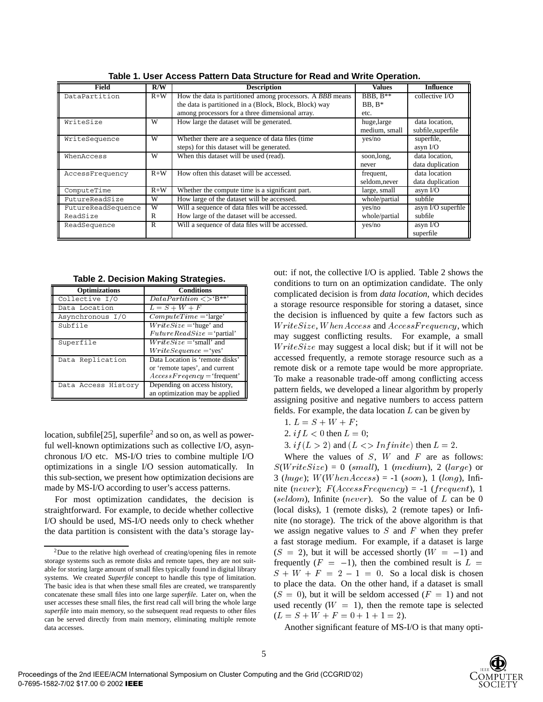| <b>Field</b>       | R/W          | <b>Description</b>                                        | <b>Values</b> | <b>Influence</b>   |
|--------------------|--------------|-----------------------------------------------------------|---------------|--------------------|
| DataPartition      | $R+W$        | How the data is partitioned among processors. A BBB means | BBB. B**      | collective I/O     |
|                    |              | the data is partitioned in a (Block, Block, Block) way    | $BB, B^*$     |                    |
|                    |              | among processors for a three dimensional array.           | etc.          |                    |
| WriteSize          | W            | How large the dataset will be generated.                  | huge, large   | data location,     |
|                    |              |                                                           | medium, small | subfile, superfile |
| WriteSequence      | W            | Whether there are a sequence of data files (time          | yes/no        | superfile,         |
|                    |              | steps) for this dataset will be generated.                |               | asyn $I/O$         |
| WhenAccess         | W            | When this dataset will be used (read).                    | soon, long,   | data location,     |
|                    |              |                                                           | never         | data duplication   |
| AccessFrequency    | $R+W$        | How often this dataset will be accessed.                  | frequent,     | data location      |
|                    |              |                                                           | seldom, never | data duplication   |
| ComputeTime        | $R+W$        | Whether the compute time is a significant part.           | large, small  | asyn I/O           |
| FutureReadSize     | W            | How large of the dataset will be accessed.                | whole/partial | subfile            |
| FutureReadSequence | W            | Will a sequence of data files will be accessed.           | yes/no        | asyn I/O superfile |
| ReadSize           | R            | How large of the dataset will be accessed.                | whole/partial | subfile            |
| ReadSequence       | $\mathbb{R}$ | Will a sequence of data files will be accessed.           | yes/no        | asyn $I/O$         |
|                    |              |                                                           |               | superfile          |
|                    |              |                                                           |               |                    |

**Table 1. User Access Pattern Data Structure for Read and Write Operation.**

**Table 2. Decision Making Strategies.**

| <b>Optimizations</b> | <b>Conditions</b>                |  |  |
|----------------------|----------------------------------|--|--|
| Collective I/O       | $DataPartition \ll\gt; B^{***'}$ |  |  |
| Data Location        | $L = S + W + F$                  |  |  |
| Asynchronous I/O     | $ComputeTime = 'large'$          |  |  |
| Subfile              | $WriteSize = 'huge'$ and         |  |  |
|                      | $FutureReadSize = 'partial'$     |  |  |
| Superfile            | $WriteSize = 'small'$ and        |  |  |
|                      | $WriteSequence = 'yes'$          |  |  |
| Data Replication     | Data Location is 'remote disks'  |  |  |
|                      | or 'remote tapes', and current   |  |  |
|                      | $AccessFrequency = 'frequent'$   |  |  |
| Data Access History  | Depending on access history,     |  |  |
|                      | an optimization may be applied   |  |  |

location, subfile<sup>[25]</sup>, superfile<sup>2</sup> and so on, as well as powerful well-known optimizations such as collective I/O, asynchronous I/O etc. MS-I/O tries to combine multiple I/O optimizations in a single I/O session automatically. In this sub-section, we present how optimization decisions are made by MS-I/O according to user's access patterns.

For most optimization candidates, the decision is straightforward. For example, to decide whether collective I/O should be used, MS-I/O needs only to check whether the data partition is consistent with the data's storage layout: if not, the collective I/O is applied. Table 2 shows the conditions to turn on an optimization candidate. The only complicated decision is from *data location*, which decides a storage resource responsible for storing a dataset, since the decision is influenced by quite a few factors such as  $WriteSize, When Access and Access Frequency, which$ may suggest conflicting results. For example, a small  $WriteSize$  may suggest a local disk; but if it will not be accessed frequently, a remote storage resource such as a remote disk or a remote tape would be more appropriate. To make a reasonable trade-off among conflicting access pattern fields, we developed a linear algorithm by properly assigning positive and negative numbers to access pattern fields. For example, the data location  $L$  can be given by

- 1.  $L = S + W + F$ ;
- 2. *i*  $fL < 0$  then  $L = 0$ ;
- 3.  $if(L > 2)$  and  $(L \leq I_n$  *Infinite*) then  $L = 2$ .

Where the values of  $S$ ,  $W$  and  $F$  are as follows:  $S(WriteSize) = 0$  (small), 1 (medium), 2 (large) or 3 (huge);  $W(WhenAccess) = -1$  (soon), 1 (long), Infinite (never);  $F(AccessFrequency) = -1$  (frequent), 1 (seldom), Infinite (never). So the value of  $L$  can be 0 (local disks), 1 (remote disks), 2 (remote tapes) or Infinite (no storage). The trick of the above algorithm is that we assign negative values to  $S$  and  $F$  when they prefer a fast storage medium. For example, if a dataset is large  $(S = 2)$ , but it will be accessed shortly  $(W = -1)$  and frequently  $(F = -1)$ , then the combined result is  $L =$  $S + W + F = 2 - 1 = 0$ . So a local disk is chosen to place the data. On the other hand, if a dataset is small  $(S = 0)$ , but it will be seldom accessed  $(F = 1)$  and not used recently  $(W = 1)$ , then the remote tape is selected  $(L = S + W + F = 0 + 1 + 1 = 2).$ 

Another significant feature of MS-I/O is that many opti-



 $2$ Due to the relative high overhead of creating/opening files in remote storage systems such as remote disks and remote tapes, they are not suitable for storing large amount of small files typically found in digital library systems. We created *Superfile* concept to handle this type of limitation. The basic idea is that when these small files are created, we transparently concatenate these small files into one large *superfile*. Later on, when the user accesses these small files, the first read call will bring the whole large *superfile* into main memory, so the subsequent read requests to other files can be served directly from main memory, eliminating multiple remote data accesses.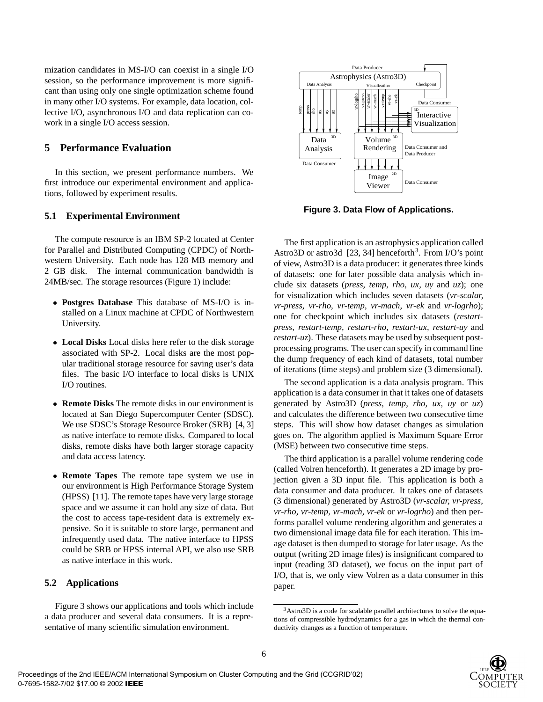mization candidates in MS-I/O can coexist in a single I/O session, so the performance improvement is more significant than using only one single optimization scheme found in many other I/O systems. For example, data location, collective I/O, asynchronous I/O and data replication can cowork in a single I/O access session.

## **5 Performance Evaluation**

In this section, we present performance numbers. We first introduce our experimental environment and applications, followed by experiment results.

#### **5.1 Experimental Environment**

The compute resource is an IBM SP-2 located at Center for Parallel and Distributed Computing (CPDC) of Northwestern University. Each node has 128 MB memory and 2 GB disk. The internal communication bandwidth is 24MB/sec. The storage resources (Figure 1) include:

- **Postgres Database** This database of MS-I/O is installed on a Linux machine at CPDC of Northwestern University.
- **Local Disks** Local disks here refer to the disk storage associated with SP-2. Local disks are the most popular traditional storage resource for saving user's data files. The basic I/O interface to local disks is UNIX I/O routines.
- **Remote Disks** The remote disks in our environment is located at San Diego Supercomputer Center (SDSC). We use SDSC's Storage Resource Broker (SRB) [4, 3] as native interface to remote disks. Compared to local disks, remote disks have both larger storage capacity and data access latency.
- **Remote Tapes** The remote tape system we use in our environment is High Performance Storage System (HPSS) [11]. The remote tapes have very large storage space and we assume it can hold any size of data. But the cost to access tape-resident data is extremely expensive. So it is suitable to store large, permanent and infrequently used data. The native interface to HPSS could be SRB or HPSS internal API, we also use SRB as native interface in this work.

#### **5.2 Applications**

Figure 3 shows our applications and tools which include a data producer and several data consumers. It is a representative of many scientific simulation environment.



**Figure 3. Data Flow of Applications.**

The first application is an astrophysics application called Astro3D or astro3d [23, 34] henceforth<sup>3</sup>. From I/O's point of view, Astro3D is a data producer: it generates three kinds of datasets: one for later possible data analysis which include six datasets (*press, temp, rho, ux, uy* and *uz*); one for visualization which includes seven datasets (*vr-scalar, vr-press, vr-rho, vr-temp, vr-mach, vr-ek* and *vr-logrho*); one for checkpoint which includes six datasets (*restartpress, restart-temp, restart-rho, restart-ux, restart-uy* and *restart-uz*). These datasets may be used by subsequent postprocessing programs. The user can specify in command line the dump frequency of each kind of datasets, total number of iterations (time steps) and problem size (3 dimensional).

The second application is a data analysis program. This application is a data consumer in that it takes one of datasets generated by Astro3D (*press, temp, rho, ux, uy* or *uz*) and calculates the difference between two consecutive time steps. This will show how dataset changes as simulation goes on. The algorithm applied is Maximum Square Error (MSE) between two consecutive time steps.

The third application is a parallel volume rendering code (called Volren henceforth). It generates a 2D image by projection given a 3D input file. This application is both a data consumer and data producer. It takes one of datasets (3 dimensional) generated by Astro3D (*vr-scalar, vr-press, vr-rho, vr-temp, vr-mach, vr-ek* or *vr-logrho*) and then performs parallel volume rendering algorithm and generates a two dimensional image data file for each iteration. This image dataset is then dumped to storage for later usage. As the output (writing 2D image files) is insignificant compared to input (reading 3D dataset), we focus on the input part of I/O, that is, we only view Volren as a data consumer in this paper.

<sup>&</sup>lt;sup>3</sup>Astro3D is a code for scalable parallel architectures to solve the equations of compressible hydrodynamics for a gas in which the thermal conductivity changes as a function of temperature.

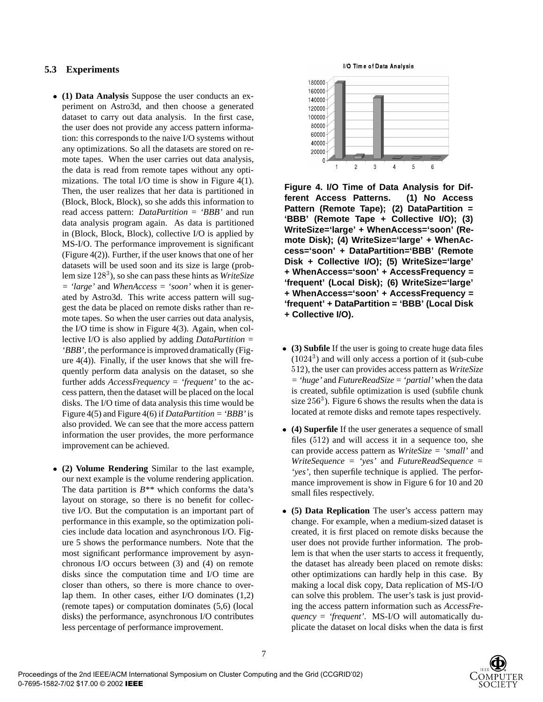## **5.3 Experiments**

- **(1) Data Analysis** Suppose the user conducts an experiment on Astro3d, and then choose a generated dataset to carry out data analysis. In the first case, the user does not provide any access pattern information: this corresponds to the naive I/O systems without any optimizations. So all the datasets are stored on remote tapes. When the user carries out data analysis, the data is read from remote tapes without any optimizations. The total I/O time is show in Figure 4(1). Then, the user realizes that her data is partitioned in (Block, Block, Block), so she adds this information to read access pattern: *DataPartition = 'BBB'* and run data analysis program again. As data is partitioned in (Block, Block, Block), collective I/O is applied by MS-I/O. The performance improvement is significant (Figure 4(2)). Further, if the user knows that one of her datasets will be used soon and its size is large (problem size <sup>1283</sup> ), so she can pass these hints as *WriteSize = 'large'* and *WhenAccess = 'soon'* when it is generated by Astro3d. This write access pattern will suggest the data be placed on remote disks rather than remote tapes. So when the user carries out data analysis, the I/O time is show in Figure 4(3). Again, when collective I/O is also applied by adding *DataPartition = 'BBB'*, the performance is improved dramatically (Figure 4(4)). Finally, if the user knows that she will frequently perform data analysis on the dataset, so she further adds *AccessFrequency = 'frequent'* to the access pattern, then the dataset will be placed on the local disks. The I/O time of data analysis this time would be Figure 4(5) and Figure 4(6) if *DataPartition = 'BBB'* is also provided. We can see that the more access pattern information the user provides, the more performance improvement can be achieved.
- **(2) Volume Rendering** Similar to the last example, our next example is the volume rendering application. The data partition is  $B^{**}$  which conforms the data's layout on storage, so there is no benefit for collective I/O. But the computation is an important part of performance in this example, so the optimization policies include data location and asynchronous I/O. Figure 5 shows the performance numbers. Note that the most significant performance improvement by asynchronous I/O occurs between (3) and (4) on remote disks since the computation time and I/O time are closer than others, so there is more chance to overlap them. In other cases, either I/O dominates (1,2) (remote tapes) or computation dominates (5,6) (local disks) the performance, asynchronous I/O contributes less percentage of performance improvement.





**Figure 4. I/O Time of Data Analysis for Different Access Patterns. (1) No Access Pattern (Remote Tape); (2) DataPartition = 'BBB' (Remote Tape + Collective I/O); (3) WriteSize='large' + WhenAccess='soon' (Remote Disk); (4) WriteSize='large' + WhenAccess='soon' + DataPartition='BBB' (Remote Disk + Collective I/O); (5) WriteSize='large' + WhenAccess='soon' + AccessFrequency = 'frequent' (Local Disk); (6) WriteSize='large' + WhenAccess='soon' + AccessFrequency = 'frequent' + DataPartition = 'BBB' (Local Disk + Collective I/O).**

- **(3) Subfile** If the user is going to create huge data files  $(1024<sup>3</sup>)$  and will only access a portion of it (sub-cube <sup>512</sup>), the user can provides access pattern as *WriteSize = 'huge'* and *FutureReadSize = 'partial'* when the data is created, subfile optimization is used (subfile chunk size  $256^3$ ). Figure 6 shows the results when the data is located at remote disks and remote tapes respectively.
- **(4) Superfile** If the user generates a sequence of small files (512) and will access it in a sequence too, she can provide access pattern as *WriteSize = 'small'* and *WriteSequence = 'yes'* and *FutureReadSequence = 'yes'*, then superfile technique is applied. The performance improvement is show in Figure 6 for 10 and 20 small files respectively.
- **(5) Data Replication** The user's access pattern may change. For example, when a medium-sized dataset is created, it is first placed on remote disks because the user does not provide further information. The problem is that when the user starts to access it frequently, the dataset has already been placed on remote disks: other optimizations can hardly help in this case. By making a local disk copy, Data replication of MS-I/O can solve this problem. The user's task is just providing the access pattern information such as *AccessFrequency = 'frequent'*. MS-I/O will automatically duplicate the dataset on local disks when the data is first

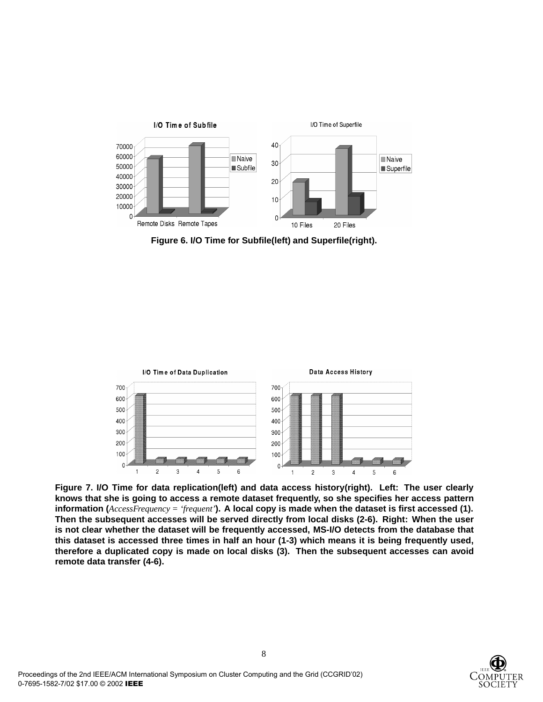

**Figure 6. I/O Time for Subfile(left) and Superfile(right).**



**Figure 7. I/O Time for data replication(left) and data access history(right). Left: The user clearly knows that she is going to access a remote dataset frequently, so she specifies her access pattern information (***AccessFrequency = 'frequent'***). A local copy is made when the dataset is first accessed (1). Then the subsequent accesses will be served directly from local disks (2-6). Right: When the user is not clear whether the dataset will be frequently accessed, MS-I/O detects from the database that this dataset is accessed three times in half an hour (1-3) which means it is being frequently used, therefore a duplicated copy is made on local disks (3). Then the subsequent accesses can avoid remote data transfer (4-6).**

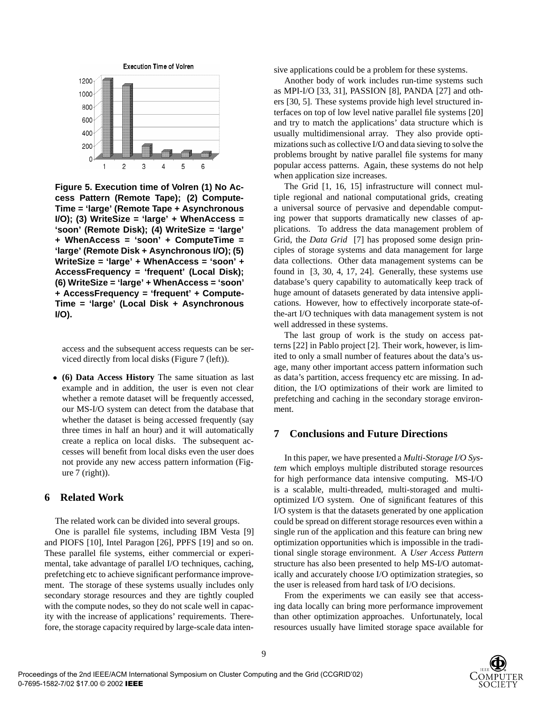

**Figure 5. Execution time of Volren (1) No Access Pattern (Remote Tape); (2) Compute-Time = 'large' (Remote Tape + Asynchronous I/O); (3) WriteSize = 'large' + WhenAccess = 'soon' (Remote Disk); (4) WriteSize = 'large' + WhenAccess = 'soon' + ComputeTime = 'large' (Remote Disk + Asynchronous I/O); (5) WriteSize = 'large' + WhenAccess = 'soon' + AccessFrequency = 'frequent' (Local Disk); (6) WriteSize = 'large' + WhenAccess = 'soon' + AccessFrequency = 'frequent' + Compute-Time = 'large' (Local Disk + Asynchronous I/O).**

access and the subsequent access requests can be serviced directly from local disks (Figure 7 (left)).

 **(6) Data Access History** The same situation as last example and in addition, the user is even not clear whether a remote dataset will be frequently accessed, our MS-I/O system can detect from the database that whether the dataset is being accessed frequently (say three times in half an hour) and it will automatically create a replica on local disks. The subsequent accesses will benefit from local disks even the user does not provide any new access pattern information (Figure 7 (right)).

# **6 Related Work**

The related work can be divided into several groups.

One is parallel file systems, including IBM Vesta [9] and PIOFS [10], Intel Paragon [26], PPFS [19] and so on. These parallel file systems, either commercial or experimental, take advantage of parallel I/O techniques, caching, prefetching etc to achieve significant performance improvement. The storage of these systems usually includes only secondary storage resources and they are tightly coupled with the compute nodes, so they do not scale well in capacity with the increase of applications' requirements. Therefore, the storage capacity required by large-scale data intensive applications could be a problem for these systems.

Another body of work includes run-time systems such as MPI-I/O [33, 31], PASSION [8], PANDA [27] and others [30, 5]. These systems provide high level structured interfaces on top of low level native parallel file systems [20] and try to match the applications' data structure which is usually multidimensional array. They also provide optimizations such as collective I/O and data sieving to solve the problems brought by native parallel file systems for many popular access patterns. Again, these systems do not help when application size increases.

The Grid [1, 16, 15] infrastructure will connect multiple regional and national computational grids, creating a universal source of pervasive and dependable computing power that supports dramatically new classes of applications. To address the data management problem of Grid, the *Data Grid* [7] has proposed some design principles of storage systems and data management for large data collections. Other data management systems can be found in [3, 30, 4, 17, 24]. Generally, these systems use database's query capability to automatically keep track of huge amount of datasets generated by data intensive applications. However, how to effectively incorporate state-ofthe-art I/O techniques with data management system is not well addressed in these systems.

The last group of work is the study on access patterns [22] in Pablo project [2]. Their work, however, is limited to only a small number of features about the data's usage, many other important access pattern information such as data's partition, access frequency etc are missing. In addition, the I/O optimizations of their work are limited to prefetching and caching in the secondary storage environment.

## **7 Conclusions and Future Directions**

In this paper, we have presented a *Multi-Storage I/O System* which employs multiple distributed storage resources for high performance data intensive computing. MS-I/O is a scalable, multi-threaded, multi-storaged and multioptimized I/O system. One of significant features of this I/O system is that the datasets generated by one application could be spread on different storage resources even within a single run of the application and this feature can bring new optimization opportunities which is impossible in the traditional single storage environment. A *User Access Pattern* structure has also been presented to help MS-I/O automatically and accurately choose I/O optimization strategies, so the user is released from hard task of I/O decisions.

From the experiments we can easily see that accessing data locally can bring more performance improvement than other optimization approaches. Unfortunately, local resources usually have limited storage space available for